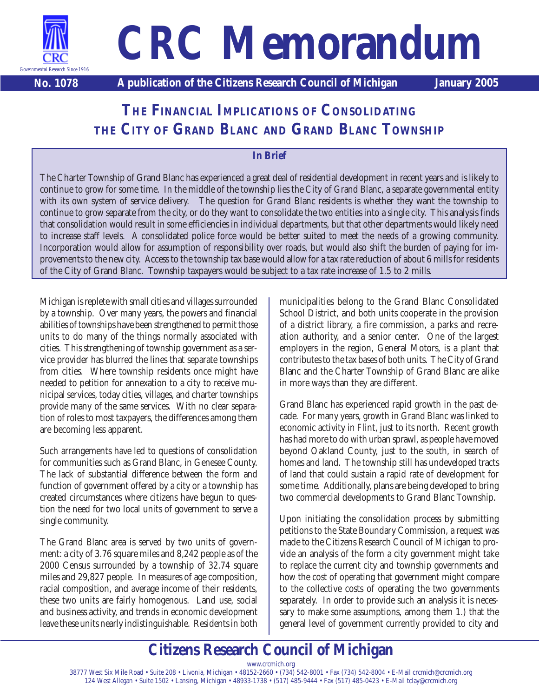

# **CRC Memorandum**

**No. 1078 A publication of the Citizens Research Council of Michigan January 2005**

## **THE FINANCIAL IMPLICATIONS OF CONSOLIDATING THE CITY OF GRAND BLANC AND GRAND BLANC TOWNSHIP**

#### **In Brief**

The Charter Township of Grand Blanc has experienced a great deal of residential development in recent years and is likely to continue to grow for some time. In the middle of the township lies the City of Grand Blanc, a separate governmental entity with its own system of service delivery. The question for Grand Blanc residents is whether they want the township to continue to grow separate from the city, or do they want to consolidate the two entities into a single city. This analysis finds that consolidation would result in some efficiencies in individual departments, but that other departments would likely need to increase staff levels. A consolidated police force would be better suited to meet the needs of a growing community. Incorporation would allow for assumption of responsibility over roads, but would also shift the burden of paying for improvements to the new city. Access to the township tax base would allow for a tax rate reduction of about 6 mills for residents of the City of Grand Blanc. Township taxpayers would be subject to a tax rate increase of 1.5 to 2 mills.

Michigan is replete with small cities and villages surrounded by a township. Over many years, the powers and financial abilities of townships have been strengthened to permit those units to do many of the things normally associated with cities. This strengthening of township government as a service provider has blurred the lines that separate townships from cities. Where township residents once might have needed to petition for annexation to a city to receive municipal services, today cities, villages, and charter townships provide many of the same services. With no clear separation of roles to most taxpayers, the differences among them are becoming less apparent.

Such arrangements have led to questions of consolidation for communities such as Grand Blanc, in Genesee County. The lack of substantial difference between the form and function of government offered by a city or a township has created circumstances where citizens have begun to question the need for two local units of government to serve a single community.

The Grand Blanc area is served by two units of government: a city of 3.76 square miles and 8,242 people as of the 2000 Census surrounded by a township of 32.74 square miles and 29,827 people. In measures of age composition, racial composition, and average income of their residents, these two units are fairly homogenous. Land use, social and business activity, and trends in economic development leave these units nearly indistinguishable. Residents in both municipalities belong to the Grand Blanc Consolidated School District, and both units cooperate in the provision of a district library, a fire commission, a parks and recreation authority, and a senior center. One of the largest employers in the region, General Motors, is a plant that contributes to the tax bases of both units. The City of Grand Blanc and the Charter Township of Grand Blanc are alike in more ways than they are different.

Grand Blanc has experienced rapid growth in the past decade. For many years, growth in Grand Blanc was linked to economic activity in Flint, just to its north. Recent growth has had more to do with urban sprawl, as people have moved beyond Oakland County, just to the south, in search of homes and land. The township still has undeveloped tracts of land that could sustain a rapid rate of development for some time. Additionally, plans are being developed to bring two commercial developments to Grand Blanc Township.

Upon initiating the consolidation process by submitting petitions to the State Boundary Commission, a request was made to the Citizens Research Council of Michigan to provide an analysis of the form a city government might take to replace the current city and township governments and how the cost of operating that government might compare to the collective costs of operating the two governments separately. In order to provide such an analysis it is necessary to make some assumptions, among them 1.) that the general level of government currently provided to city and

# **Citizens Research Council of Michigan**

www.crcmich.org 38777 West Six Mile Road • Suite 208 • Livonia, Michigan • 48152-2660 • (734) 542-8001 • Fax (734) 542-8004 • E-Mail crcmich@crcmich.org 124 West Allegan • Suite 1502 • Lansing, Michigan • 48933-1738 • (517) 485-9444 • Fax (517) 485-0423 • E-Mail tclay@crcmich.org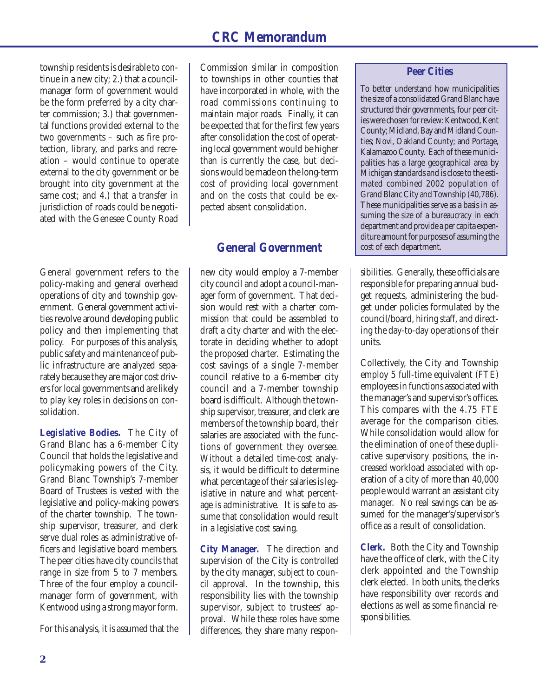township residents is desirable to continue in a new city; 2.) that a councilmanager form of government would be the form preferred by a city charter commission; 3.) that governmental functions provided external to the two governments – such as fire protection, library, and parks and recreation – would continue to operate external to the city government or be brought into city government at the same cost; and 4.) that a transfer in jurisdiction of roads could be negotiated with the Genesee County Road

General government refers to the policy-making and general overhead operations of city and township government. General government activities revolve around developing public policy and then implementing that policy. For purposes of this analysis, public safety and maintenance of public infrastructure are analyzed separately because they are major cost drivers for local governments and are likely to play key roles in decisions on consolidation.

**Legislative Bodies.** The City of Grand Blanc has a 6-member City Council that holds the legislative and policymaking powers of the City. Grand Blanc Township's 7-member Board of Trustees is vested with the legislative and policy-making powers of the charter township. The township supervisor, treasurer, and clerk serve dual roles as administrative officers and legislative board members. The peer cities have city councils that range in size from 5 to 7 members. Three of the four employ a councilmanager form of government, with Kentwood using a strong mayor form.

For this analysis, it is assumed that the

Commission similar in composition to townships in other counties that have incorporated in whole, with the road commissions continuing to maintain major roads. Finally, it can be expected that for the first few years after consolidation the cost of operating local government would be higher than is currently the case, but decisions would be made on the long-term cost of providing local government and on the costs that could be expected absent consolidation.

#### **General Government**

new city would employ a 7-member city council and adopt a council-manager form of government. That decision would rest with a charter commission that could be assembled to draft a city charter and with the electorate in deciding whether to adopt the proposed charter. Estimating the cost savings of a single 7-member council relative to a 6-member city council and a 7-member township board is difficult. Although the township supervisor, treasurer, and clerk are members of the township board, their salaries are associated with the functions of government they oversee. Without a detailed time-cost analysis, it would be difficult to determine what percentage of their salaries is legislative in nature and what percentage is administrative. It is safe to assume that consolidation would result in a legislative cost saving.

**City Manager.** The direction and supervision of the City is controlled by the city manager, subject to council approval. In the township, this responsibility lies with the township supervisor, subject to trustees' approval. While these roles have some differences, they share many respon-

#### **Peer Cities**

To better understand how municipalities the size of a consolidated Grand Blanc have structured their governments, four peer cities were chosen for review: Kentwood, Kent County; Midland, Bay and Midland Counties; Novi, Oakland County; and Portage, Kalamazoo County. Each of these municipalities has a large geographical area by Michigan standards and is close to the estimated combined 2002 population of Grand Blanc City and Township (40,786). These municipalities serve as a basis in assuming the size of a bureaucracy in each department and provide a per capita expenditure amount for purposes of assuming the cost of each department.

sibilities. Generally, these officials are responsible for preparing annual budget requests, administering the budget under policies formulated by the council/board, hiring staff, and directing the day-to-day operations of their units.

Collectively, the City and Township employ 5 full-time equivalent (FTE) employees in functions associated with the manager's and supervisor's offices. This compares with the 4.75 FTE average for the comparison cities. While consolidation would allow for the elimination of one of these duplicative supervisory positions, the increased workload associated with operation of a city of more than 40,000 people would warrant an assistant city manager. No real savings can be assumed for the manager's/supervisor's office as a result of consolidation.

**Clerk.** Both the City and Township have the office of clerk, with the City clerk appointed and the Township clerk elected. In both units, the clerks have responsibility over records and elections as well as some financial responsibilities.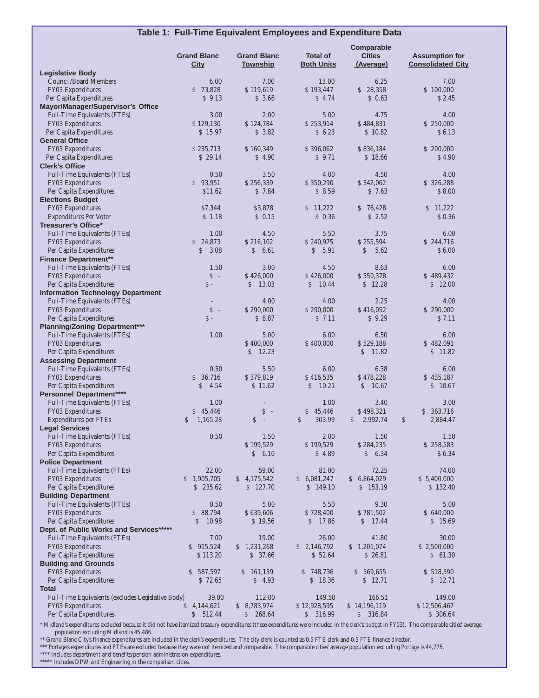| Table 1: Full-Time Equivalent Employees and Expenditure Data    |                                    |                       |                          |                             |                             |  |
|-----------------------------------------------------------------|------------------------------------|-----------------------|--------------------------|-----------------------------|-----------------------------|--|
|                                                                 |                                    |                       |                          | Comparable                  |                             |  |
|                                                                 | <b>Grand Blanc</b>                 | <b>Grand Blanc</b>    | <b>Total of</b>          | <b>Cities</b>               | <b>Assumption for</b>       |  |
|                                                                 | <b>City</b>                        | <b>Township</b>       | <b>Both Units</b>        | <u>(Average)</u>            | <b>Consolidated City</b>    |  |
| <b>Legislative Body</b><br><b>Council/Board Members</b>         | 6.00                               | 7.00                  | 13.00                    | 6.25                        | 7.00                        |  |
| FY03 Expenditures                                               | \$73,828                           | \$119,619             | \$193,447                | \$28,358                    | \$100,000                   |  |
| Per Capita Expenditures                                         | \$9.13                             | \$3.66                | \$4.74                   | \$0.63                      | \$2.45                      |  |
| Mayor/Manager/Supervisor's Office                               |                                    |                       |                          |                             |                             |  |
| Full-Time Equivalents (FTEs)<br>FY03 Expenditures               | 3.00<br>\$129,130                  | 2.00<br>\$124,784     | 5.00<br>\$253,914        | 4.75<br>\$484,831           | 4.00<br>\$250,000           |  |
| Per Capita Expenditures                                         | \$15.97                            | \$3.82                | \$6.23                   | \$10.82                     | \$6.13                      |  |
| <b>General Office</b>                                           |                                    |                       |                          |                             |                             |  |
| <b>FY03 Expenditures</b>                                        | \$235,713                          | \$160,349             | \$396,062                | \$836,184                   | \$200,000                   |  |
| Per Capita Expenditures                                         | \$29.14                            | \$4.90                | \$9.71                   | \$18.66                     | \$4.90                      |  |
| <b>Clerk's Office</b><br>Full-Time Equivalents (FTEs)           | 0.50                               | 3.50                  | 4.00                     | 4.50                        | 4.00                        |  |
| FY03 Expenditures                                               | \$93,951                           | \$256,339             | \$350,290                | \$342,062                   | \$326,288                   |  |
| Per Capita Expenditures                                         | \$11.62                            | \$7.84                | \$8.59                   | \$7.63                      | \$8.00                      |  |
| <b>Elections Budget</b>                                         |                                    |                       |                          |                             |                             |  |
| FY03 Expenditures                                               | \$7,344<br>\$1.18                  | \$3,878<br>$S$ 0.15   | \$11,222<br>\$0.36       | \$76,428<br>\$2.52          | \$11,222<br>\$0.36          |  |
| <b>Expenditures Per Voter</b><br><b>Treasurer's Office*</b>     |                                    |                       |                          |                             |                             |  |
| <b>Full-Time Equivalents (FTEs)</b>                             | 1.00                               | 4.50                  | 5.50                     | 3.75                        | 6.00                        |  |
| <b>FY03</b> Expenditures                                        | \$24,873                           | \$216.102             | \$240,975                | \$255,594                   | \$244,716                   |  |
| Per Capita Expenditures                                         | 3.08<br>S                          | $\mathsf{S}$<br>6.61  | $\mathcal{S}$<br>5.91    | $\mathsf{S}$<br>5.62        | \$6.00                      |  |
| <b>Finance Department**</b><br>Full-Time Equivalents (FTEs)     | 1.50                               | 3.00                  | 4.50                     | 8.63                        | 6.00                        |  |
| FY03 Expenditures                                               | $S -$                              | \$426,000             | \$426,000                | \$550,378                   | \$489,432                   |  |
| Per Capita Expenditures                                         | $S -$                              | \$<br>13.03           | $\mathsf{S}$<br>10.44    | \$12.28                     | \$12.00                     |  |
| <b>Information Technology Department</b>                        |                                    |                       |                          |                             |                             |  |
| Full-Time Equivalents (FTEs)                                    |                                    | 4.00                  | 4.00                     | 2.25                        | 4.00                        |  |
| FY03 Expenditures                                               | $\boldsymbol{\mathsf{S}}$<br>$S -$ | \$290,000<br>\$8.87   | \$290,000<br>\$7.11      | \$416,052<br>\$9.29         | \$290,000                   |  |
| Per Capita Expenditures<br><b>Planning/Zoning Department***</b> |                                    |                       |                          |                             | \$7.11                      |  |
| Full-Time Equivalents (FTEs)                                    | 1.00                               | 5.00                  | 6.00                     | 6.50                        | 6.00                        |  |
| FY03 Expenditures                                               |                                    | \$400,000             | \$400,000                | \$529,188                   | \$482,091                   |  |
| Per Capita Expenditures                                         |                                    | \$<br>12.23           |                          | 11.82<br>$\mathcal{S}$      | \$11.82                     |  |
| <b>Assessing Department</b><br>Full-Time Equivalents (FTEs)     | 0.50                               | 5.50                  | 6.00                     | 6.38                        | 6.00                        |  |
| FY03 Expenditures                                               | \$36.716                           | \$379,819             | \$416,535                | \$478,228                   | \$435,187                   |  |
| Per Capita Expenditures                                         | 4.54<br><sup>S</sup>               | \$11.62               | \$<br>10.21              | \$<br>10.67                 | \$10.67                     |  |
| Personnel Department****                                        |                                    |                       |                          |                             |                             |  |
| Full-Time Equivalents (FTEs)                                    | 1.00                               |                       | 1.00                     | 3.40                        | 3.00                        |  |
| FY03 Expenditures<br><b>Expenditures per FTEs</b>               | \$45,446<br>\$1,165.28             | $S -$<br>$\mathsf{S}$ | \$45,446<br>\$<br>303.99 | \$498,321<br>2,992.74<br>\$ | \$363,716<br>\$<br>2,884.47 |  |
| <b>Legal Services</b>                                           |                                    |                       |                          |                             |                             |  |
| Full-Time Equivalents (FTEs)                                    | 0.50                               | 1.50                  | 2.00                     | 1.50                        | 1.50                        |  |
| FY03 Expenditures                                               |                                    | \$199,529             | \$199,529                | \$284,235                   | \$258,583                   |  |
| Per Capita Expenditures<br><b>Police Department</b>             |                                    | $\mathcal{S}$<br>6.10 | \$4.89                   | 6.34<br>$\mathsf{S}^-$      | \$6.34                      |  |
| Full-Time Equivalents (FTEs)                                    | 22.00                              | 59.00                 | 81.00                    | 72.25                       | 74.00                       |  |
| FY03 Expenditures                                               | \$1,905,705                        | \$4,175,542           | \$6,081,247              | 6,864,029<br>$\mathcal{S}$  | \$5,400,000                 |  |
| Per Capita Expenditures                                         | \$235.62                           | \$127.70              | \$149.10                 | \$153.19                    | \$132.40                    |  |
| <b>Building Department</b>                                      |                                    |                       |                          |                             |                             |  |
| Full-Time Equivalents (FTEs)<br>FY03 Expenditures               | 0.50<br>\$88,794                   | 5.00<br>\$639,606     | 5.50<br>\$728,400        | 9.30<br>\$781,502           | 5.00<br>\$640,000           |  |
| Per Capita Expenditures                                         | $\mathsf{S}$<br>10.98              | \$19.56               | $\mathsf{S}$<br>17.86    | \$17.44                     | \$15.69                     |  |
| Dept. of Public Works and Services*****                         |                                    |                       |                          |                             |                             |  |
| Full-Time Equivalents (FTEs)                                    | 7.00                               | 19.00                 | 26.00                    | 41.80                       | 30.00                       |  |
| FY03 Expenditures                                               | \$915,524                          | \$1,231,268           | \$2,146,792              | \$1,201,074                 | \$2,500,000                 |  |
| Per Capita Expenditures<br><b>Building and Grounds</b>          | \$113.20                           | \$37.66               | \$52.64                  | \$26.81                     | \$61.30                     |  |
| FY03 Expenditures                                               | \$587,597                          | \$161,139             | \$748,736                | \$569,655                   | \$518,390                   |  |
| Per Capita Expenditures                                         | \$72.65                            | \$4.93                | \$18.36                  | \$12.71                     | \$12.71                     |  |
| <b>Total</b>                                                    |                                    |                       |                          |                             |                             |  |
| Full-Time Equivalents (excludes Legislative Body)               | 39.00<br>\$4,144,621               | 112.00<br>\$8,783,974 | 149.50<br>\$12,928,595   | 166.51<br>\$14,196,119      | 149.00<br>\$12,506,467      |  |
| FY03 Expenditures<br>Per Capita Expenditures                    | \$512.44                           | 268.64<br>S           | S.<br>316.99             | \$316.84                    | \$306.64                    |  |
|                                                                 |                                    |                       |                          |                             |                             |  |

\* Midland's expenditures excluded because it did not have itemized treasury expenditures (these expenditures were included in the clerk's budget in FY03). The comparable cities' average population excluding Midland is 45,486.

\*\* Grand Blanc City's finance expenditures are included in the clerk's expenditures. The city clerk is counted as 0.5 FTE clerk and 0.5 FTE finance director.

\*\*\* Portage's expenditures and FTEs are excluded because they were not itemized and comparable. The comparable cities' average population excluding Portage is 44,775.

\*\*\*\* Includes department and benefits/pension administration expenditures. \*\*\*\*\* Includes DPW and Engineering in the comparison cities.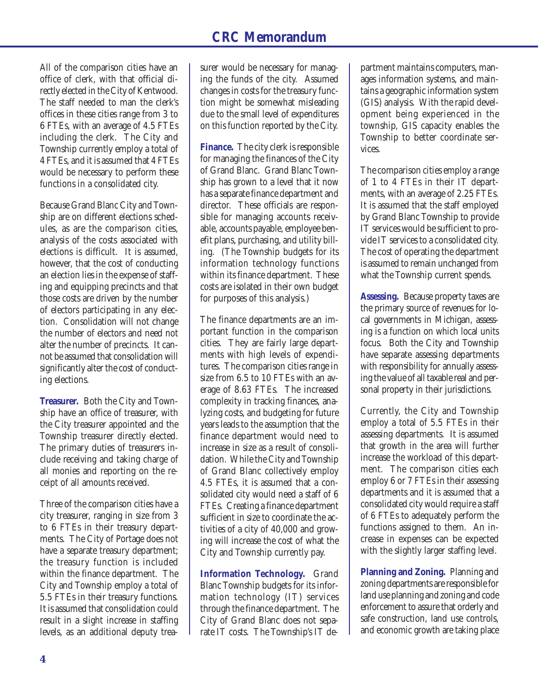All of the comparison cities have an office of clerk, with that official directly elected in the City of Kentwood. The staff needed to man the clerk's offices in these cities range from 3 to 6 FTEs, with an average of 4.5 FTEs including the clerk. The City and Township currently employ a total of 4 FTEs, and it is assumed that 4 FTEs would be necessary to perform these functions in a consolidated city.

Because Grand Blanc City and Township are on different elections schedules, as are the comparison cities, analysis of the costs associated with elections is difficult. It is assumed, however, that the cost of conducting an election lies in the expense of staffing and equipping precincts and that those costs are driven by the number of electors participating in any election. Consolidation will not change the number of electors and need not alter the number of precincts. It cannot be assumed that consolidation will significantly alter the cost of conducting elections.

**Treasurer.** Both the City and Township have an office of treasurer, with the City treasurer appointed and the Township treasurer directly elected. The primary duties of treasurers include receiving and taking charge of all monies and reporting on the receipt of all amounts received.

Three of the comparison cities have a city treasurer, ranging in size from 3 to 6 FTEs in their treasury departments. The City of Portage does not have a separate treasury department; the treasury function is included within the finance department. The City and Township employ a total of 5.5 FTEs in their treasury functions. It is assumed that consolidation could result in a slight increase in staffing levels, as an additional deputy treasurer would be necessary for managing the funds of the city. Assumed changes in costs for the treasury function might be somewhat misleading due to the small level of expenditures on this function reported by the City.

**Finance.** The city clerk is responsible for managing the finances of the City of Grand Blanc. Grand Blanc Township has grown to a level that it now has a separate finance department and director. These officials are responsible for managing accounts receivable, accounts payable, employee benefit plans, purchasing, and utility billing. (The Township budgets for its information technology functions within its finance department. These costs are isolated in their own budget for purposes of this analysis.)

The finance departments are an important function in the comparison cities. They are fairly large departments with high levels of expenditures. The comparison cities range in size from 6.5 to 10 FTEs with an average of 8.63 FTEs. The increased complexity in tracking finances, analyzing costs, and budgeting for future years leads to the assumption that the finance department would need to increase in size as a result of consolidation. While the City and Township of Grand Blanc collectively employ 4.5 FTEs, it is assumed that a consolidated city would need a staff of 6 FTEs. Creating a finance department sufficient in size to coordinate the activities of a city of 40,000 and growing will increase the cost of what the City and Township currently pay.

**Information Technology.** Grand Blanc Township budgets for its information technology (IT) services through the finance department. The City of Grand Blanc does not separate IT costs. The Township's IT de-

partment maintains computers, manages information systems, and maintains a geographic information system (GIS) analysis. With the rapid development being experienced in the township, GIS capacity enables the Township to better coordinate services.

The comparison cities employ a range of 1 to 4 FTEs in their IT departments, with an average of 2.25 FTEs. It is assumed that the staff employed by Grand Blanc Township to provide IT services would be sufficient to provide IT services to a consolidated city. The cost of operating the department is assumed to remain unchanged from what the Township current spends.

**Assessing.** Because property taxes are the primary source of revenues for local governments in Michigan, assessing is a function on which local units focus. Both the City and Township have separate assessing departments with responsibility for annually assessing the value of all taxable real and personal property in their jurisdictions.

Currently, the City and Township employ a total of 5.5 FTEs in their assessing departments. It is assumed that growth in the area will further increase the workload of this department. The comparison cities each employ 6 or 7 FTEs in their assessing departments and it is assumed that a consolidated city would require a staff of 6 FTEs to adequately perform the functions assigned to them. An increase in expenses can be expected with the slightly larger staffing level.

**Planning and Zoning.** Planning and zoning departments are responsible for land use planning and zoning and code enforcement to assure that orderly and safe construction, land use controls, and economic growth are taking place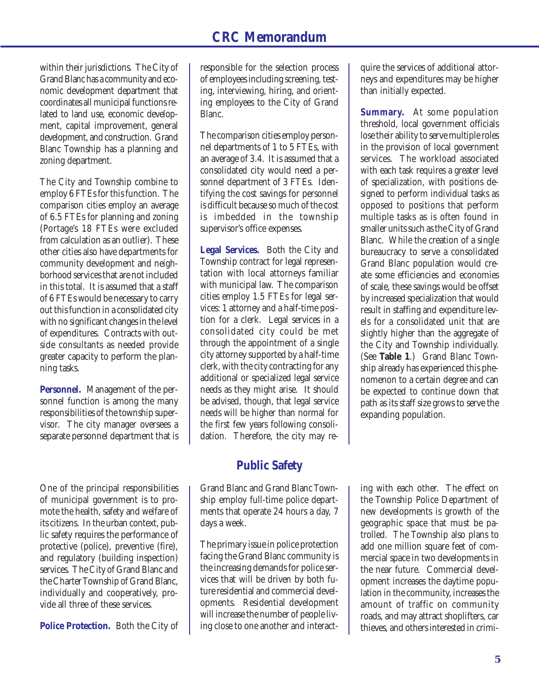within their jurisdictions. The City of Grand Blanc has a community and economic development department that coordinates all municipal functions related to land use, economic development, capital improvement, general development, and construction. Grand Blanc Township has a planning and zoning department.

The City and Township combine to employ 6 FTEs for this function. The comparison cities employ an average of 6.5 FTEs for planning and zoning (Portage's 18 FTEs were excluded from calculation as an outlier). These other cities also have departments for community development and neighborhood services that are not included in this total. It is assumed that a staff of 6 FTEs would be necessary to carry out this function in a consolidated city with no significant changes in the level of expenditures. Contracts with outside consultants as needed provide greater capacity to perform the planning tasks.

**Personnel.** Management of the personnel function is among the many responsibilities of the township supervisor. The city manager oversees a separate personnel department that is

One of the principal responsibilities of municipal government is to promote the health, safety and welfare of its citizens. In the urban context, public safety requires the performance of protective (police), preventive (fire), and regulatory (building inspection) services. The City of Grand Blanc and the Charter Township of Grand Blanc, individually and cooperatively, provide all three of these services.

**Police Protection.** Both the City of

responsible for the selection process of employees including screening, testing, interviewing, hiring, and orienting employees to the City of Grand Blanc.

The comparison cities employ personnel departments of 1 to 5 FTEs, with an average of 3.4. It is assumed that a consolidated city would need a personnel department of 3 FTEs. Identifying the cost savings for personnel is difficult because so much of the cost is imbedded in the township supervisor's office expenses.

**Legal Services.** Both the City and Township contract for legal representation with local attorneys familiar with municipal law. The comparison cities employ 1.5 FTEs for legal services: 1 attorney and a half-time position for a clerk. Legal services in a consolidated city could be met through the appointment of a single city attorney supported by a half-time clerk, with the city contracting for any additional or specialized legal service needs as they might arise. It should be advised, though, that legal service needs will be higher than normal for the first few years following consolidation. Therefore, the city may re-

#### **Public Safety**

Grand Blanc and Grand Blanc Township employ full-time police departments that operate 24 hours a day, 7 days a week.

The primary issue in police protection facing the Grand Blanc community is the increasing demands for police services that will be driven by both future residential and commercial developments. Residential development will increase the number of people living close to one another and interactquire the services of additional attorneys and expenditures may be higher than initially expected.

**Summary.** At some population threshold, local government officials lose their ability to serve multiple roles in the provision of local government services. The workload associated with each task requires a greater level of specialization, with positions designed to perform individual tasks as opposed to positions that perform multiple tasks as is often found in smaller units such as the City of Grand Blanc. While the creation of a single bureaucracy to serve a consolidated Grand Blanc population would create some efficiencies and economies of scale, these savings would be offset by increased specialization that would result in staffing and expenditure levels for a consolidated unit that are slightly higher than the aggregate of the City and Township individually. (See **Table 1**.) Grand Blanc Township already has experienced this phenomenon to a certain degree and can be expected to continue down that path as its staff size grows to serve the expanding population.

ing with each other. The effect on the Township Police Department of new developments is growth of the geographic space that must be patrolled. The Township also plans to add one million square feet of commercial space in two developments in the near future. Commercial development increases the daytime population in the community, increases the amount of traffic on community roads, and may attract shoplifters, car thieves, and others interested in crimi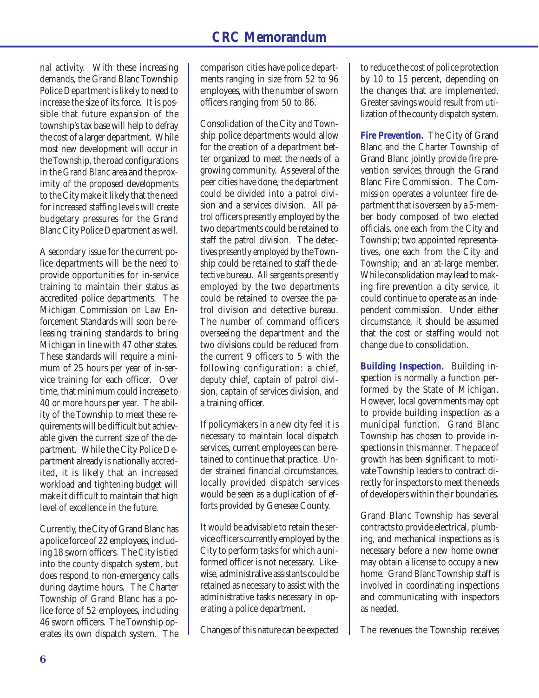nal activity. With these increasing demands, the Grand Blanc Township Police Department is likely to need to increase the size of its force. It is possible that future expansion of the township's tax base will help to defray the cost of a larger department. While most new development will occur in the Township, the road configurations in the Grand Blanc area and the proximity of the proposed developments to the City make it likely that the need for increased staffing levels will create budgetary pressures for the Grand Blanc City Police Department as well.

A secondary issue for the current police departments will be the need to provide opportunities for in-service training to maintain their status as accredited police departments. The Michigan Commission on Law Enforcement Standards will soon be releasing training standards to bring Michigan in line with 47 other states. These standards will require a minimum of 25 hours per year of in-service training for each officer. Over time, that minimum could increase to 40 or more hours per year. The ability of the Township to meet these requirements will be difficult but achievable given the current size of the department. While the City Police Department already is nationally accredited, it is likely that an increased workload and tightening budget will make it difficult to maintain that high level of excellence in the future.

Currently, the City of Grand Blanc has a police force of 22 employees, including 18 sworn officers. The City is tied into the county dispatch system, but does respond to non-emergency calls during daytime hours. The Charter Township of Grand Blanc has a police force of 52 employees, including 46 sworn officers. The Township operates its own dispatch system. The comparison cities have police departments ranging in size from 52 to 96 employees, with the number of sworn officers ranging from 50 to 86.

Consolidation of the City and Township police departments would allow for the creation of a department better organized to meet the needs of a growing community. As several of the peer cities have done, the department could be divided into a patrol division and a services division. All patrol officers presently employed by the two departments could be retained to staff the patrol division. The detectives presently employed by the Township could be retained to staff the detective bureau. All sergeants presently employed by the two departments could be retained to oversee the patrol division and detective bureau. The number of command officers overseeing the department and the two divisions could be reduced from the current 9 officers to 5 with the following configuration: a chief, deputy chief, captain of patrol division, captain of services division, and a training officer.

If policymakers in a new city feel it is necessary to maintain local dispatch services, current employees can be retained to continue that practice. Under strained financial circumstances, locally provided dispatch services would be seen as a duplication of efforts provided by Genesee County.

It would be advisable to retain the service officers currently employed by the City to perform tasks for which a uniformed officer is not necessary. Likewise, administrative assistants could be retained as necessary to assist with the administrative tasks necessary in operating a police department.

Changes of this nature can be expected

to reduce the cost of police protection by 10 to 15 percent, depending on the changes that are implemented. Greater savings would result from utilization of the county dispatch system.

**Fire Prevention.** The City of Grand Blanc and the Charter Township of Grand Blanc jointly provide fire prevention services through the Grand Blanc Fire Commission. The Commission operates a volunteer fire department that is overseen by a 5-member body composed of two elected officials, one each from the City and Township; two appointed representatives, one each from the City and Township; and an at-large member. While consolidation may lead to making fire prevention a city service, it could continue to operate as an independent commission. Under either circumstance, it should be assumed that the cost or staffing would not change due to consolidation.

**Building Inspection.** Building inspection is normally a function performed by the State of Michigan. However, local governments may opt to provide building inspection as a municipal function. Grand Blanc Township has chosen to provide inspections in this manner. The pace of growth has been significant to motivate Township leaders to contract directly for inspectors to meet the needs of developers within their boundaries.

Grand Blanc Township has several contracts to provide electrical, plumbing, and mechanical inspections as is necessary before a new home owner may obtain a license to occupy a new home. Grand Blanc Township staff is involved in coordinating inspections and communicating with inspectors as needed.

The revenues the Township receives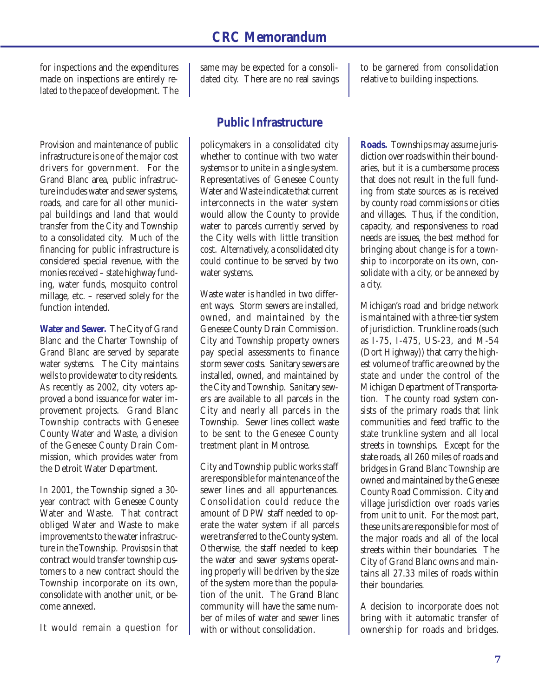for inspections and the expenditures made on inspections are entirely related to the pace of development. The

Provision and maintenance of public infrastructure is one of the major cost drivers for government. For the Grand Blanc area, public infrastructure includes water and sewer systems, roads, and care for all other municipal buildings and land that would transfer from the City and Township to a consolidated city. Much of the financing for public infrastructure is considered special revenue, with the monies received – state highway funding, water funds, mosquito control millage, etc. – reserved solely for the function intended.

**Water and Sewer.** The City of Grand Blanc and the Charter Township of Grand Blanc are served by separate water systems. The City maintains wells to provide water to city residents. As recently as 2002, city voters approved a bond issuance for water improvement projects. Grand Blanc Township contracts with Genesee County Water and Waste, a division of the Genesee County Drain Commission, which provides water from the Detroit Water Department.

In 2001, the Township signed a 30 year contract with Genesee County Water and Waste. That contract obliged Water and Waste to make improvements to the water infrastructure in the Township. Provisos in that contract would transfer township customers to a new contract should the Township incorporate on its own, consolidate with another unit, or become annexed.

It would remain a question for

same may be expected for a consolidated city. There are no real savings

#### **Public Infrastructure**

policymakers in a consolidated city whether to continue with two water systems or to unite in a single system. Representatives of Genesee County Water and Waste indicate that current interconnects in the water system would allow the County to provide water to parcels currently served by the City wells with little transition cost. Alternatively, a consolidated city could continue to be served by two water systems.

Waste water is handled in two different ways. Storm sewers are installed, owned, and maintained by the Genesee County Drain Commission. City and Township property owners pay special assessments to finance storm sewer costs. Sanitary sewers are installed, owned, and maintained by the City and Township. Sanitary sewers are available to all parcels in the City and nearly all parcels in the Township. Sewer lines collect waste to be sent to the Genesee County treatment plant in Montrose.

City and Township public works staff are responsible for maintenance of the sewer lines and all appurtenances. Consolidation could reduce the amount of DPW staff needed to operate the water system if all parcels were transferred to the County system. Otherwise, the staff needed to keep the water and sewer systems operating properly will be driven by the size of the system more than the population of the unit. The Grand Blanc community will have the same number of miles of water and sewer lines with or without consolidation.

to be garnered from consolidation relative to building inspections.

**Roads.** Townships may assume jurisdiction over roads within their boundaries, but it is a cumbersome process that does not result in the full funding from state sources as is received by county road commissions or cities and villages. Thus, if the condition, capacity, and responsiveness to road needs are issues, the best method for bringing about change is for a township to incorporate on its own, consolidate with a city, or be annexed by a city.

Michigan's road and bridge network is maintained with a three-tier system of jurisdiction. Trunkline roads (such as I-75, I-475, US-23, and M-54 (Dort Highway)) that carry the highest volume of traffic are owned by the state and under the control of the Michigan Department of Transportation. The county road system consists of the primary roads that link communities and feed traffic to the state trunkline system and all local streets in townships. Except for the state roads, all 260 miles of roads and bridges in Grand Blanc Township are owned and maintained by the Genesee County Road Commission. City and village jurisdiction over roads varies from unit to unit. For the most part, these units are responsible for most of the major roads and all of the local streets within their boundaries. The City of Grand Blanc owns and maintains all 27.33 miles of roads within their boundaries.

A decision to incorporate does not bring with it automatic transfer of ownership for roads and bridges.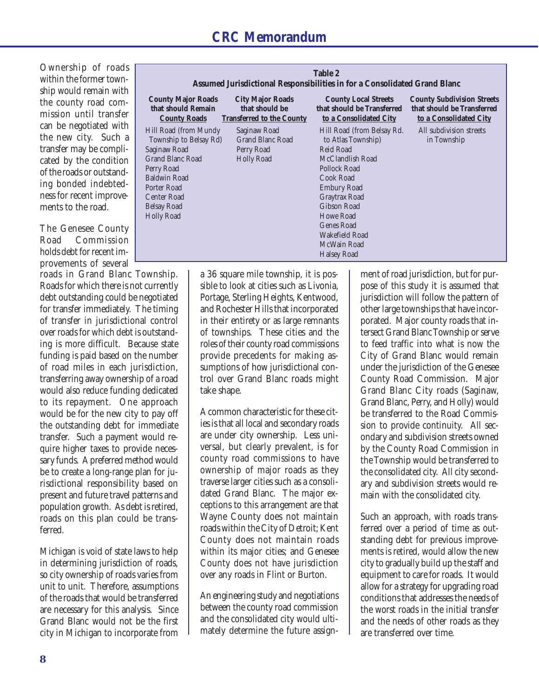Ownership of roads within the former township would remain with the county road commission until transfer can be negotiated with the new city. Such a transfer may be complicated by the condition of the roads or outstanding bonded indebtedness for recent improvements to the road.

The Genesee County Road Commission holds debt for recent improvements of several

roads in Grand Blanc Township. Roads for which there is not currently debt outstanding could be negotiated for transfer immediately. The timing of transfer in jurisdictional control over roads for which debt is outstanding is more difficult. Because state funding is paid based on the number of road miles in each jurisdiction, transferring away ownership of a road would also reduce funding dedicated to its repayment. One approach would be for the new city to pay off the outstanding debt for immediate transfer. Such a payment would require higher taxes to provide necessary funds. A preferred method would be to create a long-range plan for jurisdictional responsibility based on present and future travel patterns and population growth. As debt is retired, roads on this plan could be transferred.

Michigan is void of state laws to help in determining jurisdiction of roads, so city ownership of roads varies from unit to unit. Therefore, assumptions of the roads that would be transferred are necessary for this analysis. Since Grand Blanc would not be the first city in Michigan to incorporate from

| Table 2<br>Assumed Jurisdictional Responsibilities in for a Consolidated Grand Blanc |                                                                               |                                                                                     |                                                                                           |  |  |  |  |
|--------------------------------------------------------------------------------------|-------------------------------------------------------------------------------|-------------------------------------------------------------------------------------|-------------------------------------------------------------------------------------------|--|--|--|--|
| <b>County Major Roads</b><br>that should Remain<br><b>County Roads</b>               | <b>City Major Roads</b><br>that should be<br><b>Transferred to the County</b> | <b>County Local Streets</b><br>that should be Transferred<br>to a Consolidated City | <b>County Subdivision Streets</b><br>that should be Transferred<br>to a Consolidated City |  |  |  |  |
| Hill Road (from Mundy                                                                | Saginaw Road                                                                  | Hill Road (from Belsay Rd.                                                          | All subdivision streets                                                                   |  |  |  |  |
| Township to Belsay Rd)                                                               | <b>Grand Blanc Road</b>                                                       | to Atlas Township)                                                                  | in Township                                                                               |  |  |  |  |
| Saginaw Road                                                                         | Perry Road                                                                    | Reid Road                                                                           |                                                                                           |  |  |  |  |
| Grand Blanc Road                                                                     | <b>Holly Road</b>                                                             | McClandlish Road                                                                    |                                                                                           |  |  |  |  |
| Perry Road                                                                           |                                                                               | Pollock Road                                                                        |                                                                                           |  |  |  |  |
| Baldwin Road                                                                         |                                                                               | Cook Road                                                                           |                                                                                           |  |  |  |  |
| Porter Road                                                                          |                                                                               | <b>Embury Road</b>                                                                  |                                                                                           |  |  |  |  |
| Center Road                                                                          |                                                                               | Graytrax Road                                                                       |                                                                                           |  |  |  |  |
| Belsay Road                                                                          |                                                                               | <b>Gibson Road</b>                                                                  |                                                                                           |  |  |  |  |
| <b>Holly Road</b>                                                                    |                                                                               | Howe Road                                                                           |                                                                                           |  |  |  |  |
|                                                                                      |                                                                               | <b>Genes Road</b>                                                                   |                                                                                           |  |  |  |  |
|                                                                                      |                                                                               | Wakefield Road                                                                      |                                                                                           |  |  |  |  |
|                                                                                      |                                                                               | McWain Road                                                                         |                                                                                           |  |  |  |  |
|                                                                                      |                                                                               | <b>Halsey Road</b>                                                                  |                                                                                           |  |  |  |  |

a 36 square mile township, it is possible to look at cities such as Livonia, Portage, Sterling Heights, Kentwood, and Rochester Hills that incorporated in their entirety or as large remnants of townships. These cities and the roles of their county road commissions provide precedents for making assumptions of how jurisdictional control over Grand Blanc roads might take shape.

A common characteristic for these cities is that all local and secondary roads are under city ownership. Less universal, but clearly prevalent, is for county road commissions to have ownership of major roads as they traverse larger cities such as a consolidated Grand Blanc. The major exceptions to this arrangement are that Wayne County does not maintain roads within the City of Detroit; Kent County does not maintain roads within its major cities; and Genesee County does not have jurisdiction over any roads in Flint or Burton.

An engineering study and negotiations between the county road commission and the consolidated city would ultimately determine the future assignment of road jurisdiction, but for purpose of this study it is assumed that jurisdiction will follow the pattern of other large townships that have incorporated. Major county roads that intersect Grand Blanc Township or serve to feed traffic into what is now the City of Grand Blanc would remain under the jurisdiction of the Genesee County Road Commission. Major Grand Blanc City roads (Saginaw, Grand Blanc, Perry, and Holly) would be transferred to the Road Commission to provide continuity. All secondary and subdivision streets owned by the County Road Commission in the Township would be transferred to the consolidated city. All city secondary and subdivision streets would remain with the consolidated city.

Such an approach, with roads transferred over a period of time as outstanding debt for previous improvements is retired, would allow the new city to gradually build up the staff and equipment to care for roads. It would allow for a strategy for upgrading road conditions that addresses the needs of the worst roads in the initial transfer and the needs of other roads as they are transferred over time.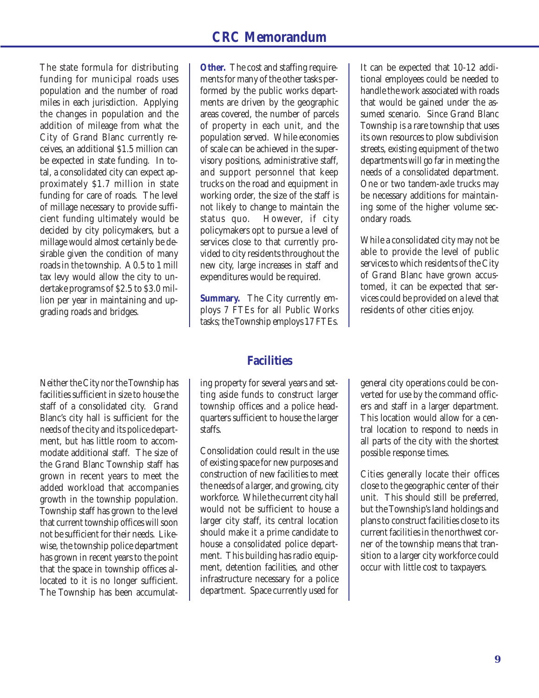The state formula for distributing funding for municipal roads uses population and the number of road miles in each jurisdiction. Applying the changes in population and the addition of mileage from what the City of Grand Blanc currently receives, an additional \$1.5 million can be expected in state funding. In total, a consolidated city can expect approximately \$1.7 million in state funding for care of roads. The level of millage necessary to provide sufficient funding ultimately would be decided by city policymakers, but a millage would almost certainly be desirable given the condition of many roads in the township. A 0.5 to 1 mill tax levy would allow the city to undertake programs of \$2.5 to \$3.0 million per year in maintaining and upgrading roads and bridges.

Neither the City nor the Township has facilities sufficient in size to house the staff of a consolidated city. Grand Blanc's city hall is sufficient for the needs of the city and its police department, but has little room to accommodate additional staff. The size of the Grand Blanc Township staff has grown in recent years to meet the added workload that accompanies growth in the township population. Township staff has grown to the level that current township offices will soon not be sufficient for their needs. Likewise, the township police department has grown in recent years to the point that the space in township offices allocated to it is no longer sufficient. The Township has been accumulat-

**Other.** The cost and staffing requirements for many of the other tasks performed by the public works departments are driven by the geographic areas covered, the number of parcels of property in each unit, and the population served. While economies of scale can be achieved in the supervisory positions, administrative staff, and support personnel that keep trucks on the road and equipment in working order, the size of the staff is not likely to change to maintain the status quo. However, if city policymakers opt to pursue a level of services close to that currently provided to city residents throughout the new city, large increases in staff and expenditures would be required.

**Summary.** The City currently employs 7 FTEs for all Public Works tasks; the Township employs 17 FTEs.

#### **Facilities**

ing property for several years and setting aside funds to construct larger township offices and a police headquarters sufficient to house the larger staffs.

Consolidation could result in the use of existing space for new purposes and construction of new facilities to meet the needs of a larger, and growing, city workforce. While the current city hall would not be sufficient to house a larger city staff, its central location should make it a prime candidate to house a consolidated police department. This building has radio equipment, detention facilities, and other infrastructure necessary for a police department. Space currently used for

It can be expected that 10-12 additional employees could be needed to handle the work associated with roads that would be gained under the assumed scenario. Since Grand Blanc Township is a rare township that uses its own resources to plow subdivision streets, existing equipment of the two departments will go far in meeting the needs of a consolidated department. One or two tandem-axle trucks may be necessary additions for maintaining some of the higher volume secondary roads.

While a consolidated city may not be able to provide the level of public services to which residents of the City of Grand Blanc have grown accustomed, it can be expected that services could be provided on a level that residents of other cities enjoy.

general city operations could be converted for use by the command officers and staff in a larger department. This location would allow for a central location to respond to needs in all parts of the city with the shortest possible response times.

Cities generally locate their offices close to the geographic center of their unit. This should still be preferred, but the Township's land holdings and plans to construct facilities close to its current facilities in the northwest corner of the township means that transition to a larger city workforce could occur with little cost to taxpayers.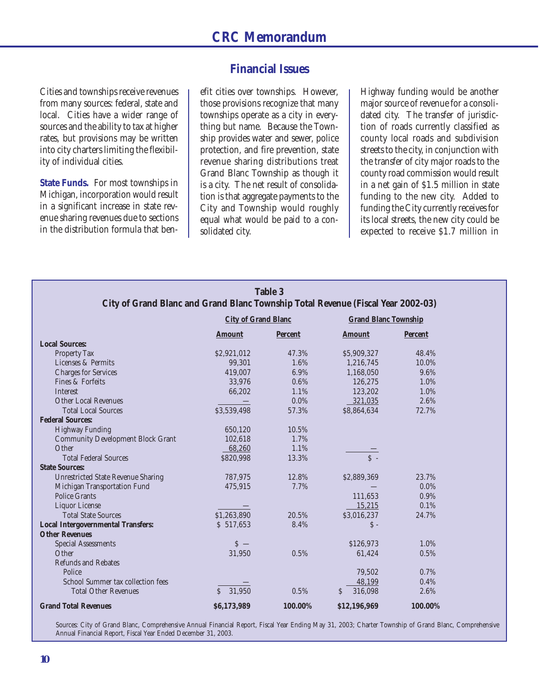#### **Financial Issues**

Cities and townships receive revenues from many sources: federal, state and local. Cities have a wider range of sources and the ability to tax at higher rates, but provisions may be written into city charters limiting the flexibility of individual cities.

**State Funds.** For most townships in Michigan, incorporation would result in a significant increase in state revenue sharing revenues due to sections in the distribution formula that benefit cities over townships. However, those provisions recognize that many townships operate as a city in everything but name. Because the Township provides water and sewer, police protection, and fire prevention, state revenue sharing distributions treat Grand Blanc Township as though it is a city. The net result of consolidation is that aggregate payments to the City and Township would roughly equal what would be paid to a consolidated city.

Highway funding would be another major source of revenue for a consolidated city. The transfer of jurisdiction of roads currently classified as county local roads and subdivision streets to the city, in conjunction with the transfer of city major roads to the county road commission would result in a net gain of \$1.5 million in state funding to the new city. Added to funding the City currently receives for its local streets, the new city could be expected to receive \$1.7 million in

| <b>Table 3</b>                            |                                                                                                                |                |                             |                |  |  |  |
|-------------------------------------------|----------------------------------------------------------------------------------------------------------------|----------------|-----------------------------|----------------|--|--|--|
|                                           | City of Grand Blanc and Grand Blanc Township Total Revenue (Fiscal Year 2002-03)<br><b>City of Grand Blanc</b> |                |                             |                |  |  |  |
|                                           |                                                                                                                |                | <b>Grand Blanc Township</b> |                |  |  |  |
|                                           | <b>Amount</b>                                                                                                  | <b>Percent</b> | <b>Amount</b>               | <b>Percent</b> |  |  |  |
| <b>Local Sources:</b>                     |                                                                                                                |                |                             |                |  |  |  |
| <b>Property Tax</b>                       | \$2,921,012                                                                                                    | 47.3%          | \$5,909,327                 | 48.4%          |  |  |  |
| Licenses & Permits                        | 99,301                                                                                                         | 1.6%           | 1,216,745                   | 10.0%          |  |  |  |
| <b>Charges for Services</b>               | 419,007                                                                                                        | 6.9%           | 1,168,050                   | 9.6%           |  |  |  |
| Fines & Forfeits                          | 33,976                                                                                                         | 0.6%           | 126,275                     | 1.0%           |  |  |  |
| Interest                                  | 66,202                                                                                                         | 1.1%           | 123,202                     | 1.0%           |  |  |  |
| <b>Other Local Revenues</b>               |                                                                                                                | $0.0\%$        | 321,035                     | 2.6%           |  |  |  |
| <b>Total Local Sources</b>                | \$3,539,498                                                                                                    | 57.3%          | \$8,864,634                 | 72.7%          |  |  |  |
| <b>Federal Sources:</b>                   |                                                                                                                |                |                             |                |  |  |  |
| <b>Highway Funding</b>                    | 650,120                                                                                                        | 10.5%          |                             |                |  |  |  |
| <b>Community Development Block Grant</b>  | 102,618                                                                                                        | 1.7%           |                             |                |  |  |  |
| Other                                     | 68,260                                                                                                         | 1.1%           |                             |                |  |  |  |
| <b>Total Federal Sources</b>              | \$820,998                                                                                                      | 13.3%          | $S -$                       |                |  |  |  |
| <b>State Sources:</b>                     |                                                                                                                |                |                             |                |  |  |  |
| <b>Unrestricted State Revenue Sharing</b> | 787,975                                                                                                        | 12.8%          | \$2,889,369                 | 23.7%          |  |  |  |
| Michigan Transportation Fund              | 475,915                                                                                                        | 7.7%           |                             | $0.0\%$        |  |  |  |
| <b>Police Grants</b>                      |                                                                                                                |                | 111,653                     | 0.9%           |  |  |  |
| Liquor License                            |                                                                                                                |                | 15,215                      | 0.1%           |  |  |  |
| <b>Total State Sources</b>                | \$1,263,890                                                                                                    | 20.5%          | \$3,016,237                 | 24.7%          |  |  |  |
| <b>Local Intergovernmental Transfers:</b> | \$517,653                                                                                                      | 8.4%           | $S -$                       |                |  |  |  |
| <b>Other Revenues</b>                     |                                                                                                                |                |                             |                |  |  |  |
| <b>Special Assessments</b>                | $S -$                                                                                                          |                | \$126,973                   | 1.0%           |  |  |  |
| Other                                     | 31,950                                                                                                         | 0.5%           | 61,424                      | 0.5%           |  |  |  |
| <b>Refunds and Rebates</b>                |                                                                                                                |                |                             |                |  |  |  |
| Police                                    |                                                                                                                |                | 79,502                      | 0.7%           |  |  |  |
| School Summer tax collection fees         |                                                                                                                |                | 48,199                      | 0.4%           |  |  |  |
| <b>Total Other Revenues</b>               | 31,950<br>Ś                                                                                                    | 0.5%           | 316,098<br>S                | 2.6%           |  |  |  |
| <b>Grand Total Revenues</b>               | \$6,173,989                                                                                                    | 100.00%        | \$12,196,969                | 100.00%        |  |  |  |

Sources: City of Grand Blanc, Comprehensive Annual Financial Report, Fiscal Year Ending May 31, 2003; Charter Township of Grand Blanc, Comprehensive Annual Financial Report, Fiscal Year Ended December 31, 2003.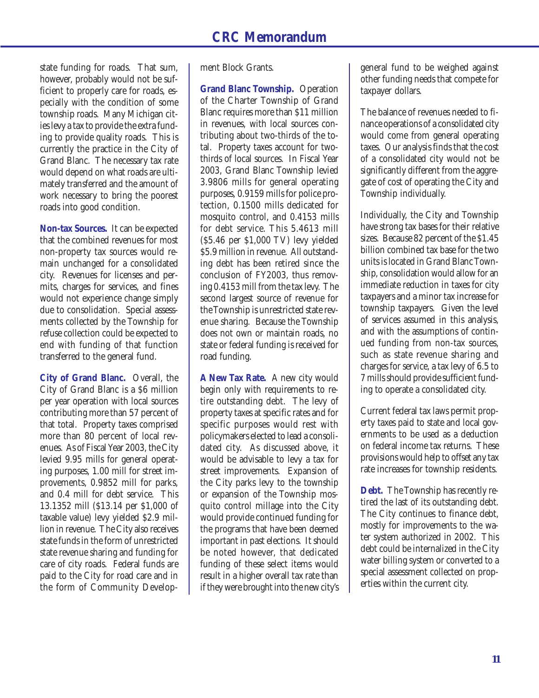state funding for roads. That sum, however, probably would not be sufficient to properly care for roads, especially with the condition of some township roads. Many Michigan cities levy a tax to provide the extra funding to provide quality roads. This is currently the practice in the City of Grand Blanc. The necessary tax rate would depend on what roads are ultimately transferred and the amount of work necessary to bring the poorest roads into good condition.

**Non-tax Sources.** It can be expected that the combined revenues for most non-property tax sources would remain unchanged for a consolidated city. Revenues for licenses and permits, charges for services, and fines would not experience change simply due to consolidation. Special assessments collected by the Township for refuse collection could be expected to end with funding of that function transferred to the general fund.

**City of Grand Blanc.** Overall, the City of Grand Blanc is a \$6 million per year operation with local sources contributing more than 57 percent of that total. Property taxes comprised more than 80 percent of local revenues. As of Fiscal Year 2003, the City levied 9.95 mills for general operating purposes, 1.00 mill for street improvements, 0.9852 mill for parks, and 0.4 mill for debt service. This 13.1352 mill (\$13.14 per \$1,000 of taxable value) levy yielded \$2.9 million in revenue. The City also receives state funds in the form of unrestricted state revenue sharing and funding for care of city roads. Federal funds are paid to the City for road care and in the form of Community Development Block Grants.

**Grand Blanc Township.** Operation of the Charter Township of Grand Blanc requires more than \$11 million in revenues, with local sources contributing about two-thirds of the total. Property taxes account for twothirds of local sources. In Fiscal Year 2003, Grand Blanc Township levied 3.9806 mills for general operating purposes, 0.9159 mills for police protection, 0.1500 mills dedicated for mosquito control, and 0.4153 mills for debt service. This 5.4613 mill (\$5.46 per \$1,000 TV) levy yielded \$5.9 million in revenue. All outstanding debt has been retired since the conclusion of FY2003, thus removing 0.4153 mill from the tax levy. The second largest source of revenue for the Township is unrestricted state revenue sharing. Because the Township does not own or maintain roads, no state or federal funding is received for road funding.

**A New Tax Rate.** A new city would begin only with requirements to retire outstanding debt. The levy of property taxes at specific rates and for specific purposes would rest with policymakers elected to lead a consolidated city. As discussed above, it would be advisable to levy a tax for street improvements. Expansion of the City parks levy to the township or expansion of the Township mosquito control millage into the City would provide continued funding for the programs that have been deemed important in past elections. It should be noted however, that dedicated funding of these select items would result in a higher overall tax rate than if they were brought into the new city's

general fund to be weighed against other funding needs that compete for taxpayer dollars.

The balance of revenues needed to finance operations of a consolidated city would come from general operating taxes. Our analysis finds that the cost of a consolidated city would not be significantly different from the aggregate of cost of operating the City and Township individually.

Individually, the City and Township have strong tax bases for their relative sizes. Because 82 percent of the \$1.45 billion combined tax base for the two units is located in Grand Blanc Township, consolidation would allow for an immediate reduction in taxes for city taxpayers and a minor tax increase for township taxpayers. Given the level of services assumed in this analysis, and with the assumptions of continued funding from non-tax sources, such as state revenue sharing and charges for service, a tax levy of 6.5 to 7 mills should provide sufficient funding to operate a consolidated city.

Current federal tax laws permit property taxes paid to state and local governments to be used as a deduction on federal income tax returns. These provisions would help to offset any tax rate increases for township residents.

**Debt.** The Township has recently retired the last of its outstanding debt. The City continues to finance debt, mostly for improvements to the water system authorized in 2002. This debt could be internalized in the City water billing system or converted to a special assessment collected on properties within the current city.